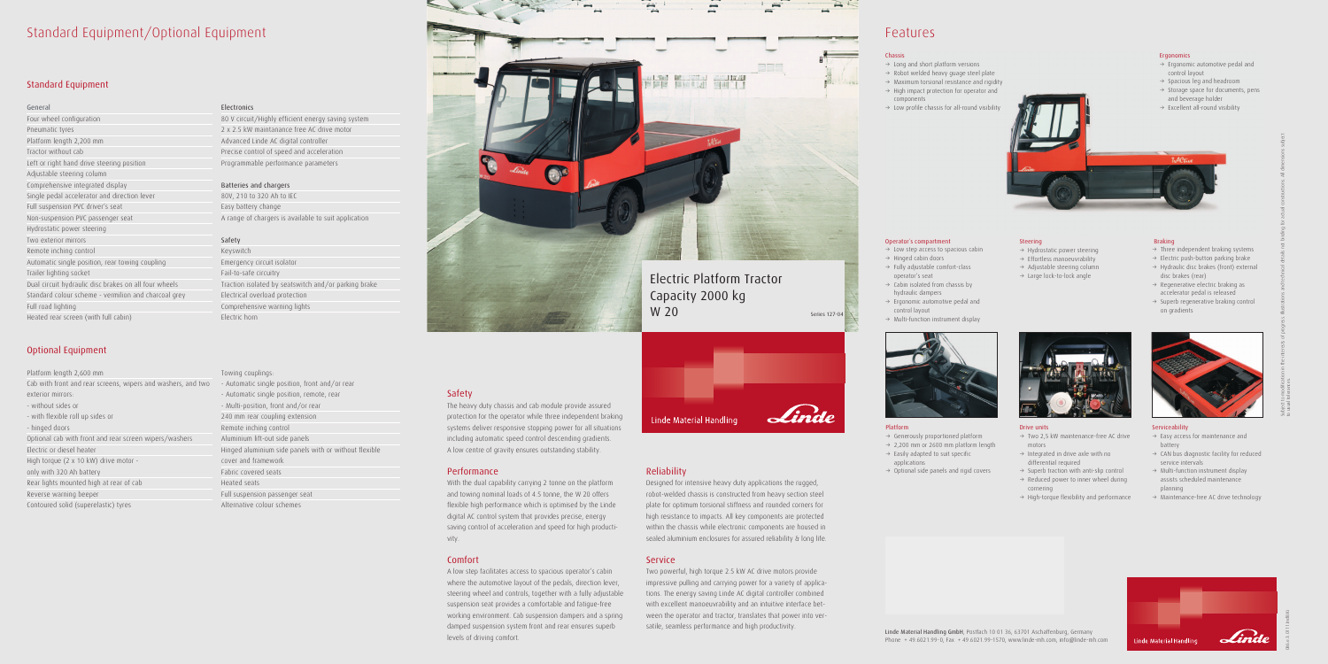# Standard Equipment/Optional Equipment

# Standard Equipment

### General

Four wheel configuration Pneumatic tyres Platform length 2,200 mm Tractor without cab Left or right hand drive steering position Adjustable steering column Comprehensive integrated display Single pedal accelerator and direction lever Full suspension PVC driver's seat Non-suspension PVC passenger seat Hydrostatic power steering Two exterior mirrors Remote inching control Automatic single position, rear towing coupling Trailer lighting socket Dual circuit hydraulic disc brakes on all four wheels Standard colour scheme - vermilion and charcoal grey Full road lighting Heated rear screen (with full cabin)

# Optional Equipment

#### Platform length 2,600 mm

Cab with front and rear screens, wipers and washers, and two - Automatic single position, front and/or rear exterior mirrors: - without sides or - with flexible roll up sides or - hinged doors Optional cab with front and rear screen wipers/washers Electric or diesel heater

# High torque (2 x 10 kW) drive motor -

only with 320 Ah battery

- Rear lights mounted high at rear of cab
- Reverse warning beeper

Contoured solid (superelastic) tyres

### Electronics

80 V circuit/Highly efficient energy saving system 2 x 2.5 kW maintanance free AC drive motor Advanced Linde AC digital controller Precise control of speed and acceleration Programmable performance parameters

### Batteries and chargers

80V, 210 to 320 Ah to IEC Easy battery change A range of chargers is available to suit application

# Safety

Keyswitch Emergency circuit isolator Fail-to-safe circuitry Traction isolated by seatswitch and/or parking brake Electrical overload protection Comprehensive warning lights Electric horn

#### Towing couplings:

- Automatic single position, remote, rear - Multi-position, front and/or rear 240 mm rear coupling extension Remote inching control Aluminium lift-out side panels Hinged aluminium side panels with or without flexible cover and framework Fabric covered seats Heated seats Full suspension passenger seat Alternative colour schemes

# Safety

The heavy duty chassis and cab module provide assured protection for the operator while three independent braking systems deliver responsive stopping power for all situations including automatic speed control descending gradients. A low centre of gravity ensures outstanding stability.

# Performance

- $\rightarrow$  Three independent braking systems
- $\rightarrow$  Electric push-button parking brake
- $\rightarrow$  Hydraulic disc brakes (front) external disc brakes (rear)
- $\rightarrow$  Regenerative electric braking as accelerator pedal is released
- $\rightarrow$  Superb regenerative braking control on gradients



With the dual capability carrying 2 tonne on the platform and towing nominal loads of 4.5 tonne, the W 20 offers flexible high performance which is optimised by the Linde digital AC control system that provides precise, energy saving control of acceleration and speed for high productivity.

# Comfort

A low step facilitates access to spacious operator's cabin where the automotive layout of the pedals, direction lever, steering wheel and controls, together with a fully adjustable suspension seat provides a comfortable and fatigue-free working environment. Cab suspension dampers and a spring damped suspension system front and rear ensures superb levels of driving comfort.

# Reliability

Designed for intensive heavy duty applications the rugged, robot-welded chassis is constructed from heavy section steel plate for optimum torsional stiffness and rounded corners for high resistance to impacts. All key components are protected within the chassis while electronic components are housed in sealed aluminium enclosures for assured reliability & long life.

# Service

Two powerful, high torque 2.5 kW AC drive motors provide impressive pulling and carrying power for a variety of applications. The energy saving Linde AC digital controller combined with excellent manoeuvrability and an intuitive interface between the operator and tractor, translates that power into versatile, seamless performance and high productivity.



# Features

#### Platform

- $\rightarrow$  Generously proportioned platform
- $\rightarrow$  2,200 mm or 2600 mm platform length
- $\rightarrow$  Easily adapted to suit specific applications
- $\rightarrow$  Optional side panels and rigid covers



#### Operator´s compartment

- $\rightarrow$  Low step access to spacious cabin
- $\rightarrow$  Hinged cabin doors  $\rightarrow$  Fully adjustable comfort-class
- operator's seat  $\rightarrow$  Cabin isolated from chassis by
- hydraulic dampers  $\rightarrow$  Ergonomic automotive pedal and control layout
- $\rightarrow$  Multi-function instrument display



#### Drive units

#### Braking

#### Serviceability

- $\rightarrow$  Easy access for maintenance and battery
- $\rightarrow$  CAN bus diagnostic facility for reduced service intervals
- $\rightarrow$  Multi-function instrument display assists scheduled maintenance planning
- $\rightarrow$  Maintenance-free AC drive technology



086.e.3.0111.IndB.Ki

#### Ergonomics

- $\rightarrow$  Ergonomic automotive pedal and control layout
- $\rightarrow$  Spacious leg and headroom
- $\rightarrow$  Storage space for documents, pens and beverage holder
- $\rightarrow$  Excellent all-round visibility

Steering

 $\rightarrow$  Hydrostatic power steering  $\rightarrow$  Effortless manoeuvrability  $\rightarrow$  Adjustable steering column  $\rightarrow$  Large lock-to-lock angle

- $\rightarrow$  Two 2,5 kW maintenance-free AC drive motors
- $\rightarrow$  Integrated in drive axle with no differential required
- $\rightarrow$  Superb traction with anti-slip control
- $\rightarrow$  Reduced power to inner wheel during cornering
- $\rightarrow$  High-torque flexibility and performance

#### Chassis

- $\rightarrow$  Long and short platform versions
- $\rightarrow$  Robot welded heavy guage steel plate
- $\rightarrow$  Maximum torsional resistance and rigidity
- $\rightarrow$  High impact protection for operator and components
- $\rightarrow$  Low profile chassis for all-round visibility